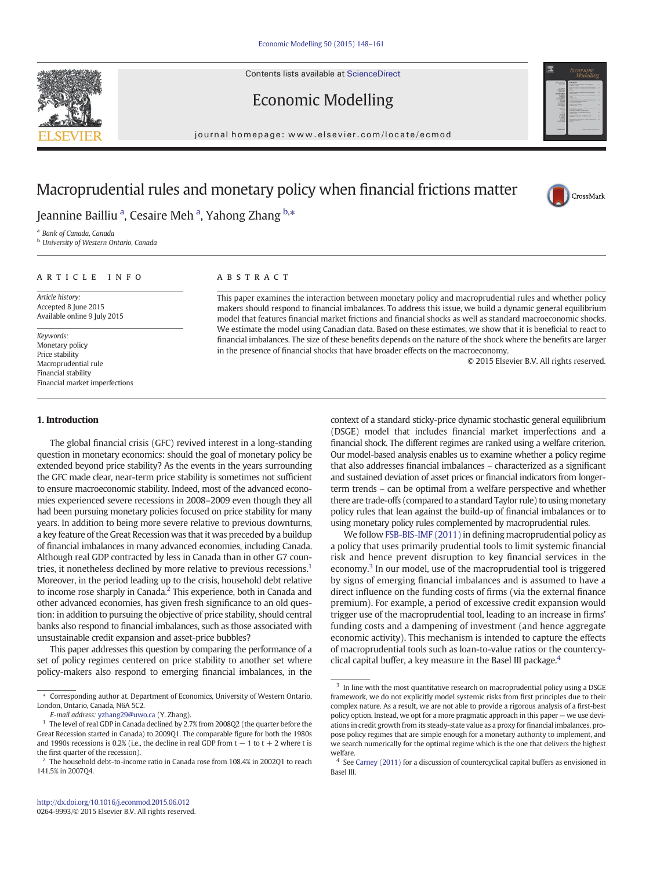Contents lists available at [ScienceDirect](http://www.sciencedirect.com/science/journal/02649993)





Economic Modelling

journal homepage:<www.elsevier.com/locate/ecmod>

# Macroprudential rules and monetary policy when financial frictions matter



Jeannine Bailliu <sup>a</sup>, Cesaire Meh <sup>a</sup>, Yahong Zhang <sup>b,</sup>\*

<sup>a</sup> Bank of Canada, Canada

**b** University of Western Ontario, Canada

#### article info abstract

Article history: Accepted 8 June 2015 Available online 9 July 2015

Keywords: Monetary policy Price stability Macroprudential rule Financial stability Financial market imperfections

# 1. Introduction

The global financial crisis (GFC) revived interest in a long-standing question in monetary economics: should the goal of monetary policy be extended beyond price stability? As the events in the years surrounding the GFC made clear, near-term price stability is sometimes not sufficient to ensure macroeconomic stability. Indeed, most of the advanced economies experienced severe recessions in 2008–2009 even though they all had been pursuing monetary policies focused on price stability for many years. In addition to being more severe relative to previous downturns, a key feature of the Great Recession was that it was preceded by a buildup of financial imbalances in many advanced economies, including Canada. Although real GDP contracted by less in Canada than in other G7 countries, it nonetheless declined by more relative to previous recessions.<sup>1</sup> Moreover, in the period leading up to the crisis, household debt relative to income rose sharply in Canada.<sup>2</sup> This experience, both in Canada and other advanced economies, has given fresh significance to an old question: in addition to pursuing the objective of price stability, should central banks also respond to financial imbalances, such as those associated with unsustainable credit expansion and asset-price bubbles?

This paper addresses this question by comparing the performance of a set of policy regimes centered on price stability to another set where policy-makers also respond to emerging financial imbalances, in the

E-mail address: [yzhang29@uwo.ca](mailto:yzhang29@uwo.ca) (Y. Zhang).

This paper examines the interaction between monetary policy and macroprudential rules and whether policy makers should respond to financial imbalances. To address this issue, we build a dynamic general equilibrium model that features financial market frictions and financial shocks as well as standard macroeconomic shocks. We estimate the model using Canadian data. Based on these estimates, we show that it is beneficial to react to financial imbalances. The size of these benefits depends on the nature of the shock where the benefits are larger in the presence of financial shocks that have broader effects on the macroeconomy.

© 2015 Elsevier B.V. All rights reserved.

context of a standard sticky-price dynamic stochastic general equilibrium (DSGE) model that includes financial market imperfections and a financial shock. The different regimes are ranked using a welfare criterion. Our model-based analysis enables us to examine whether a policy regime that also addresses financial imbalances – characterized as a significant and sustained deviation of asset prices or financial indicators from longerterm trends – can be optimal from a welfare perspective and whether there are trade-offs (compared to a standard Taylor rule) to using monetary policy rules that lean against the build-up of financial imbalances or to using monetary policy rules complemented by macroprudential rules.

We follow [FSB-BIS-IMF \(2011\)](#page-13-0) in defining macroprudential policy as a policy that uses primarily prudential tools to limit systemic financial risk and hence prevent disruption to key financial services in the economy.<sup>3</sup> In our model, use of the macroprudential tool is triggered by signs of emerging financial imbalances and is assumed to have a direct influence on the funding costs of firms (via the external finance premium). For example, a period of excessive credit expansion would trigger use of the macroprudential tool, leading to an increase in firms' funding costs and a dampening of investment (and hence aggregate economic activity). This mechanism is intended to capture the effects of macroprudential tools such as loan-to-value ratios or the countercyclical capital buffer, a key measure in the Basel III package.<sup>4</sup>

<sup>⁎</sup> Corresponding author at. Department of Economics, University of Western Ontario, London, Ontario, Canada, N6A 5C2.

The level of real GDP in Canada declined by 2.7% from 2008Q2 (the quarter before the Great Recession started in Canada) to 2009Q1. The comparable figure for both the 1980s and 1990s recessions is 0.2% (i.e., the decline in real GDP from  $t - 1$  to  $t + 2$  where t is the first quarter of the recession).

<sup>&</sup>lt;sup>2</sup> The household debt-to-income ratio in Canada rose from 108.4% in 2002Q1 to reach 141.5% in 2007Q4.

 $3$  In line with the most quantitative research on macroprudential policy using a DSGE framework, we do not explicitly model systemic risks from first principles due to their complex nature. As a result, we are not able to provide a rigorous analysis of a first-best policy option. Instead, we opt for a more pragmatic approach in this paper — we use deviations in credit growth from its steady-state value as a proxy for financial imbalances, propose policy regimes that are simple enough for a monetary authority to implement, and we search numerically for the optimal regime which is the one that delivers the highest welfare.

<sup>4</sup> See [Carney \(2011\)](#page-13-0) for a discussion of countercyclical capital buffers as envisioned in Basel III.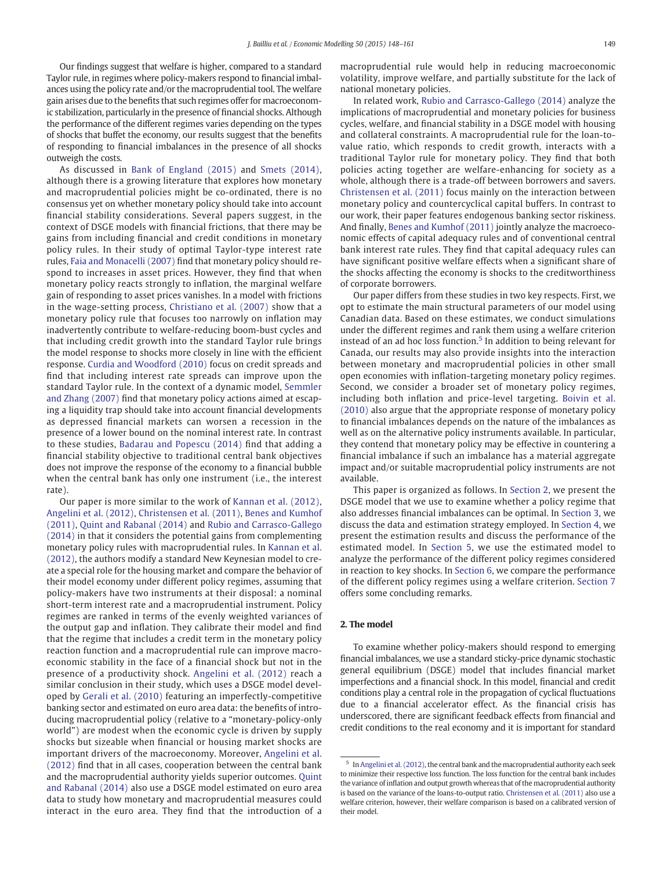Our findings suggest that welfare is higher, compared to a standard Taylor rule, in regimes where policy-makers respond to financial imbalances using the policy rate and/or the macroprudential tool. The welfare gain arises due to the benefits that such regimes offer for macroeconomic stabilization, particularly in the presence of financial shocks. Although the performance of the different regimes varies depending on the types of shocks that buffet the economy, our results suggest that the benefits of responding to financial imbalances in the presence of all shocks outweigh the costs.

As discussed in [Bank of England \(2015\)](#page-13-0) and [Smets \(2014\),](#page-13-0) although there is a growing literature that explores how monetary and macroprudential policies might be co-ordinated, there is no consensus yet on whether monetary policy should take into account financial stability considerations. Several papers suggest, in the context of DSGE models with financial frictions, that there may be gains from including financial and credit conditions in monetary policy rules. In their study of optimal Taylor-type interest rate rules, [Faia and Monacelli \(2007\)](#page-13-0) find that monetary policy should respond to increases in asset prices. However, they find that when monetary policy reacts strongly to inflation, the marginal welfare gain of responding to asset prices vanishes. In a model with frictions in the wage-setting process, [Christiano et al. \(2007\)](#page-13-0) show that a monetary policy rule that focuses too narrowly on inflation may inadvertently contribute to welfare-reducing boom-bust cycles and that including credit growth into the standard Taylor rule brings the model response to shocks more closely in line with the efficient response. [Curdia and Woodford \(2010\)](#page-13-0) focus on credit spreads and find that including interest rate spreads can improve upon the standard Taylor rule. In the context of a dynamic model, [Semmler](#page-13-0) [and Zhang \(2007\)](#page-13-0) find that monetary policy actions aimed at escaping a liquidity trap should take into account financial developments as depressed financial markets can worsen a recession in the presence of a lower bound on the nominal interest rate. In contrast to these studies, [Badarau and Popescu \(2014\)](#page-13-0) find that adding a financial stability objective to traditional central bank objectives does not improve the response of the economy to a financial bubble when the central bank has only one instrument (i.e., the interest rate).

Our paper is more similar to the work of [Kannan et al. \(2012\),](#page-13-0) [Angelini et al. \(2012\)](#page-13-0), [Christensen et al. \(2011\)](#page-13-0), [Benes and Kumhof](#page-13-0) [\(2011\),](#page-13-0) [Quint and Rabanal \(2014\)](#page-13-0) and [Rubio and Carrasco-Gallego](#page-13-0) [\(2014\)](#page-13-0) in that it considers the potential gains from complementing monetary policy rules with macroprudential rules. In [Kannan et al.](#page-13-0) [\(2012\)](#page-13-0), the authors modify a standard New Keynesian model to create a special role for the housing market and compare the behavior of their model economy under different policy regimes, assuming that policy-makers have two instruments at their disposal: a nominal short-term interest rate and a macroprudential instrument. Policy regimes are ranked in terms of the evenly weighted variances of the output gap and inflation. They calibrate their model and find that the regime that includes a credit term in the monetary policy reaction function and a macroprudential rule can improve macroeconomic stability in the face of a financial shock but not in the presence of a productivity shock. [Angelini et al. \(2012\)](#page-13-0) reach a similar conclusion in their study, which uses a DSGE model developed by [Gerali et al. \(2010\)](#page-13-0) featuring an imperfectly-competitive banking sector and estimated on euro area data: the benefits of introducing macroprudential policy (relative to a "monetary-policy-only world") are modest when the economic cycle is driven by supply shocks but sizeable when financial or housing market shocks are important drivers of the macroeconomy. Moreover, [Angelini et al.](#page-13-0) [\(2012\)](#page-13-0) find that in all cases, cooperation between the central bank and the macroprudential authority yields superior outcomes. [Quint](#page-13-0) [and Rabanal \(2014\)](#page-13-0) also use a DSGE model estimated on euro area data to study how monetary and macroprudential measures could interact in the euro area. They find that the introduction of a macroprudential rule would help in reducing macroeconomic volatility, improve welfare, and partially substitute for the lack of national monetary policies.

In related work, [Rubio and Carrasco-Gallego \(2014\)](#page-13-0) analyze the implications of macroprudential and monetary policies for business cycles, welfare, and financial stability in a DSGE model with housing and collateral constraints. A macroprudential rule for the loan-tovalue ratio, which responds to credit growth, interacts with a traditional Taylor rule for monetary policy. They find that both policies acting together are welfare-enhancing for society as a whole, although there is a trade-off between borrowers and savers. [Christensen et al. \(2011\)](#page-13-0) focus mainly on the interaction between monetary policy and countercyclical capital buffers. In contrast to our work, their paper features endogenous banking sector riskiness. And finally, [Benes and Kumhof \(2011\)](#page-13-0) jointly analyze the macroeconomic effects of capital adequacy rules and of conventional central bank interest rate rules. They find that capital adequacy rules can have significant positive welfare effects when a significant share of the shocks affecting the economy is shocks to the creditworthiness of corporate borrowers.

Our paper differs from these studies in two key respects. First, we opt to estimate the main structural parameters of our model using Canadian data. Based on these estimates, we conduct simulations under the different regimes and rank them using a welfare criterion instead of an ad hoc loss function.<sup>5</sup> In addition to being relevant for Canada, our results may also provide insights into the interaction between monetary and macroprudential policies in other small open economies with inflation-targeting monetary policy regimes. Second, we consider a broader set of monetary policy regimes, including both inflation and price-level targeting. [Boivin et al.](#page-13-0) [\(2010\)](#page-13-0) also argue that the appropriate response of monetary policy to financial imbalances depends on the nature of the imbalances as well as on the alternative policy instruments available. In particular, they contend that monetary policy may be effective in countering a financial imbalance if such an imbalance has a material aggregate impact and/or suitable macroprudential policy instruments are not available.

This paper is organized as follows. In Section 2, we present the DSGE model that we use to examine whether a policy regime that also addresses financial imbalances can be optimal. In [Section 3](#page-5-0), we discuss the data and estimation strategy employed. In [Section 4](#page-6-0), we present the estimation results and discuss the performance of the estimated model. In [Section 5](#page-7-0), we use the estimated model to analyze the performance of the different policy regimes considered in reaction to key shocks. In [Section 6,](#page-9-0) we compare the performance of the different policy regimes using a welfare criterion. [Section 7](#page-13-0) offers some concluding remarks.

#### 2. The model

To examine whether policy-makers should respond to emerging financial imbalances, we use a standard sticky-price dynamic stochastic general equilibrium (DSGE) model that includes financial market imperfections and a financial shock. In this model, financial and credit conditions play a central role in the propagation of cyclical fluctuations due to a financial accelerator effect. As the financial crisis has underscored, there are significant feedback effects from financial and credit conditions to the real economy and it is important for standard

<sup>5</sup> In [Angelini et al. \(2012\)](#page-13-0), the central bank and the macroprudential authority each seek to minimize their respective loss function. The loss function for the central bank includes the variance of inflation and output growth whereas that of the macroprudential authority is based on the variance of the loans-to-output ratio. [Christensen et al. \(2011\)](#page-13-0) also use a welfare criterion, however, their welfare comparison is based on a calibrated version of their model.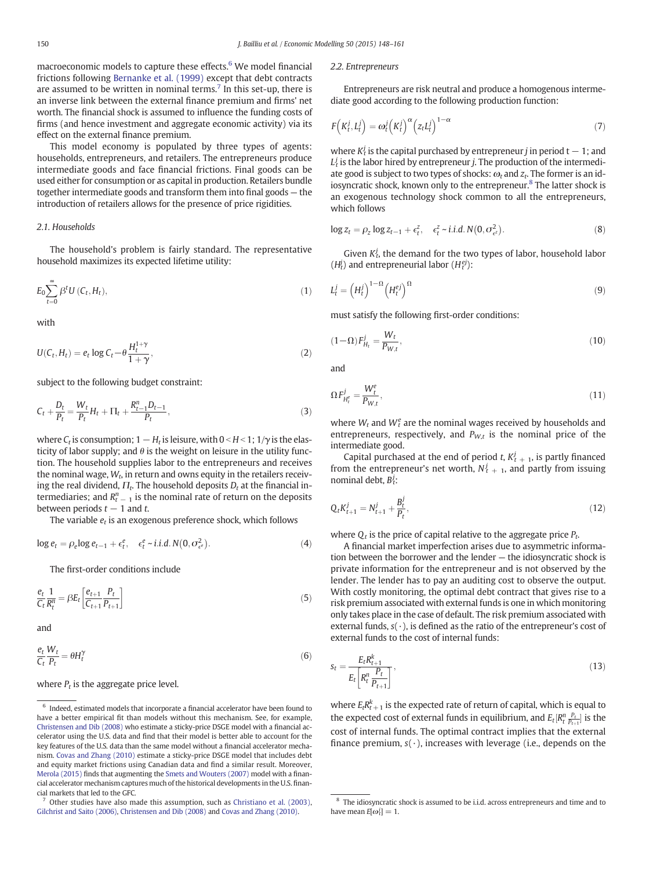<span id="page-2-0"></span>macroeconomic models to capture these effects. $6$  We model financial frictions following [Bernanke et al. \(1999\)](#page-13-0) except that debt contracts are assumed to be written in nominal terms.<sup>7</sup> In this set-up, there is an inverse link between the external finance premium and firms' net worth. The financial shock is assumed to influence the funding costs of firms (and hence investment and aggregate economic activity) via its effect on the external finance premium.

This model economy is populated by three types of agents: households, entrepreneurs, and retailers. The entrepreneurs produce intermediate goods and face financial frictions. Final goods can be used either for consumption or as capital in production. Retailers bundle together intermediate goods and transform them into final goods — the introduction of retailers allows for the presence of price rigidities.

# 2.1. Households

The household's problem is fairly standard. The representative household maximizes its expected lifetime utility:

$$
E_0 \sum_{t=0}^{\infty} \beta^t U(C_t, H_t), \tag{1}
$$

with

$$
U(C_t, H_t) = e_t \log C_t - \theta \frac{H_t^{1+\gamma}}{1+\gamma},
$$
\n(2)

subject to the following budget constraint:

$$
C_t + \frac{D_t}{P_t} = \frac{W_t}{P_t}H_t + \Pi_t + \frac{R_{t-1}^n D_{t-1}}{P_t},
$$
\n(3)

where  $C_t$  is consumption;  $1 - H_t$  is leisure, with  $0 \le H \le 1$ ;  $1/\gamma$  is the elasticity of labor supply; and  $\theta$  is the weight on leisure in the utility function. The household supplies labor to the entrepreneurs and receives the nominal wage,  $W_t$ , in return and owns equity in the retailers receiving the real dividend,  $\Pi_t$ . The household deposits  $D_t$  at the financial intermediaries; and  $R_t^n = 1$  is the nominal rate of return on the deposits between periods  $t - 1$  and t.

The variable  $e_t$  is an exogenous preference shock, which follows

$$
\log e_t = \rho_e \log e_{t-1} + \epsilon_t^e, \quad \epsilon_t^e \sim i.i.d. \ N(0, \sigma_{\epsilon^e}^2). \tag{4}
$$

The first-order conditions include

$$
\frac{e_t}{C_t} \frac{1}{R_t^n} = \beta E_t \left[ \frac{e_{t+1}}{C_{t+1}} \frac{P_t}{P_{t+1}} \right] \tag{5}
$$

and

$$
\frac{e_t}{C_t} \frac{W_t}{P_t} = \theta H_t^{\gamma} \tag{6}
$$

where  $P_t$  is the aggregate price level.

# 2.2. Entrepreneurs

Entrepreneurs are risk neutral and produce a homogenous intermediate good according to the following production function:

$$
F\left(K_t^j, L_t^j\right) = \omega_t^j \left(K_t^j\right)^{\alpha} \left(z_t L_t^j\right)^{1-\alpha} \tag{7}
$$

where  $K_t^j$  is the capital purchased by entrepreneur j in period t  $-1$ ; and  $L_t^j$  is the labor hired by entrepreneur j. The production of the intermediate good is subject to two types of shocks:  $\omega_t$  and  $z_t$ . The former is an idiosyncratic shock, known only to the entrepreneur.<sup>8</sup> The latter shock is an exogenous technology shock common to all the entrepreneurs, which follows

$$
\log z_t = \rho_z \log z_{t-1} + \epsilon_t^z, \quad \epsilon_t^z \sim i.i.d. \ N(0, \sigma_{\epsilon^2}^2). \tag{8}
$$

Given  $K_t^j$ , the demand for the two types of labor, household labor  $(H_t^i)$  and entrepreneurial labor  $(H_t^{ej})$ :

$$
L_t^j = \left(H_t^j\right)^{1-\Omega} \left(H_t^{ej}\right)^{\Omega} \tag{9}
$$

must satisfy the following first-order conditions:

$$
(1-\Omega)F_{H_t}^j = \frac{W_t}{P_{W,t}},\tag{10}
$$

and

$$
\Omega F_{H_t^e}^j = \frac{W_t^e}{P_{W,t}},\tag{11}
$$

where  $W_t$  and  $W_t^e$  are the nominal wages received by households and entrepreneurs, respectively, and  $P_{W,t}$  is the nominal price of the intermediate good.

Capital purchased at the end of period t,  $K_t^j$  + 1, is partly financed from the entrepreneur's net worth,  $N_t^j$  + 1, and partly from issuing nominal debt,  $B_t^j$ :

$$
Q_t K_{t+1}^j = N_{t+1}^j + \frac{B_t^j}{P_t},
$$
\n(12)

where  $Q_t$  is the price of capital relative to the aggregate price  $P_t$ .

A financial market imperfection arises due to asymmetric information between the borrower and the lender — the idiosyncratic shock is private information for the entrepreneur and is not observed by the lender. The lender has to pay an auditing cost to observe the output. With costly monitoring, the optimal debt contract that gives rise to a risk premium associated with external funds is one in which monitoring only takes place in the case of default. The risk premium associated with external funds,  $s(\cdot)$ , is defined as the ratio of the entrepreneur's cost of external funds to the cost of internal funds:

$$
s_t = \frac{E_t R_{t+1}^k}{E_t \left[ R_t^n \frac{P_t}{P_{t+1}} \right]},
$$
\n(13)

where  $E_t R_{t+1}^k$  is the expected rate of return of capital, which is equal to the expected cost of external funds in equilibrium, and  $E_t[R_t^n]$   $\frac{P_t}{P_{t+1}}$  is the cost of internal funds. The optimal contract implies that the external finance premium,  $s(\cdot)$ , increases with leverage (i.e., depends on the

 $6$  Indeed, estimated models that incorporate a financial accelerator have been found to have a better empirical fit than models without this mechanism. See, for example, [Christensen and Dib \(2008\)](#page-13-0) who estimate a sticky-price DSGE model with a financial accelerator using the U.S. data and find that their model is better able to account for the key features of the U.S. data than the same model without a financial accelerator mechanism. [Covas and Zhang \(2010\)](#page-13-0) estimate a sticky-price DSGE model that includes debt and equity market frictions using Canadian data and find a similar result. Moreover, [Merola \(2015\)](#page-13-0) finds that augmenting the [Smets and Wouters \(2007\)](#page-13-0) model with a financial accelerator mechanism captures much of the historical developments in the U.S. financial markets that led to the GFC.

Other studies have also made this assumption, such as [Christiano et al. \(2003\)](#page-13-0), [Gilchrist and Saito \(2006\),](#page-13-0) [Christensen and Dib \(2008\)](#page-13-0) and [Covas and Zhang \(2010\).](#page-13-0)

<sup>8</sup> The idiosyncratic shock is assumed to be i.i.d. across entrepreneurs and time and to have mean  $E[\omega_t^j] = 1$ .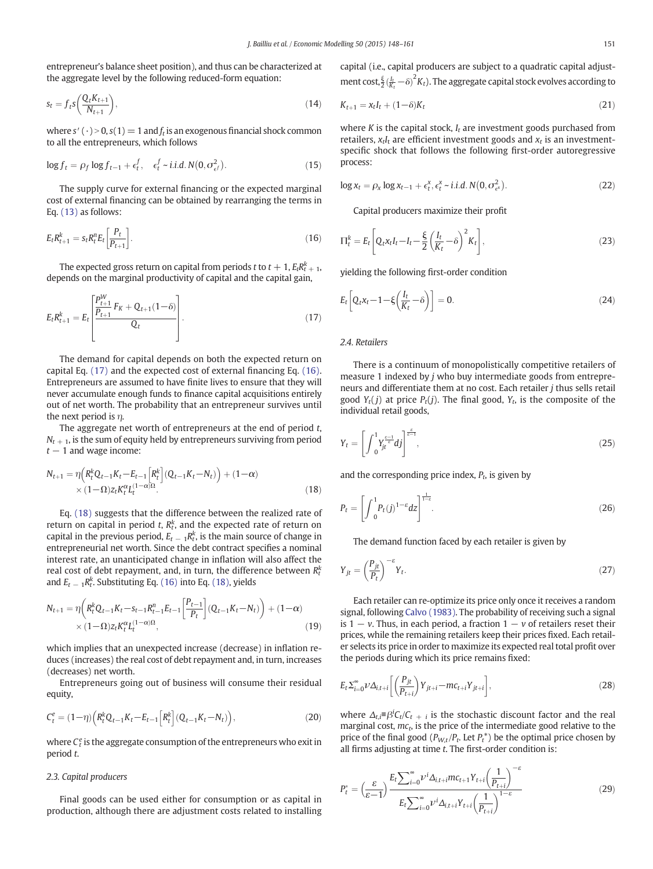entrepreneur's balance sheet position), and thus can be characterized at the aggregate level by the following reduced-form equation:

$$
s_t = f_t s \left( \frac{Q_t K_{t+1}}{N_{t+1}} \right),\tag{14}
$$

where  $s'(\cdot) > 0$ ,  $s(1) = 1$  and  $f_t$  is an exogenous financial shock common to all the entrepreneurs, which follows

$$
\log f_t = \rho_f \log f_{t-1} + \epsilon_t^f, \quad \epsilon_t^f \sim \text{i.i.d.}\, N(0, \sigma_{\epsilon^f}^2). \tag{15}
$$

The supply curve for external financing or the expected marginal cost of external financing can be obtained by rearranging the terms in Eq. [\(13\)](#page-2-0) as follows:

$$
E_t R_{t+1}^k = s_t R_t^n E_t \left[ \frac{P_t}{P_{t+1}} \right].
$$
\n(16)

The expected gross return on capital from periods  $t$  to  $t+1$ ,  $\mathit{E}_{t} \mathit{R}^k_{t+1}$ , depends on the marginal productivity of capital and the capital gain,

$$
E_t R_{t+1}^k = E_t \left[ \frac{P_{t+1}^W}{P_{t+1}} F_K + Q_{t+1} (1 - \delta) \right].
$$
 (17)

The demand for capital depends on both the expected return on capital Eq. (17) and the expected cost of external financing Eq. (16). Entrepreneurs are assumed to have finite lives to ensure that they will never accumulate enough funds to finance capital acquisitions entirely out of net worth. The probability that an entrepreneur survives until the next period is  $\eta$ .

The aggregate net worth of entrepreneurs at the end of period t,  $N_{t+1}$ , is the sum of equity held by entrepreneurs surviving from period  $t - 1$  and wage income:

$$
N_{t+1} = \eta \left( R_t^k Q_{t-1} K_t - E_{t-1} \left[ R_t^k \right] (Q_{t-1} K_t - N_t) \right) + (1 - \alpha) \times (1 - \Omega) z_t K_t^{\alpha} L_t^{(1 - \alpha) \Omega}.
$$
\n(18)

Eq. (18) suggests that the difference between the realized rate of return on capital in period t,  $R_t^k$ , and the expected rate of return on capital in the previous period,  $E_t = {}_1R_t^k$ , is the main source of change in entrepreneurial net worth. Since the debt contract specifies a nominal interest rate, an unanticipated change in inflation will also affect the real cost of debt repayment, and, in turn, the difference between  $R_t^k$ and  $E_t = {}_1R_t^k$ . Substituting Eq. (16) into Eq. (18), yields

$$
N_{t+1} = \eta \left( R_t^k Q_{t-1} K_t - S_{t-1} R_{t-1}^n E_{t-1} \left[ \frac{P_{t-1}}{P_t} \right] (Q_{t-1} K_t - N_t) \right) + (1 - \alpha) \times (1 - \Omega) z_t K_t^{\alpha} L_t^{(1 - \alpha)\Omega},
$$
\n(19)

which implies that an unexpected increase (decrease) in inflation reduces (increases) the real cost of debt repayment and, in turn, increases (decreases) net worth.

Entrepreneurs going out of business will consume their residual equity,

$$
C_t^e = (1 - \eta) \Big( R_t^k Q_{t-1} K_t - E_{t-1} \Big[ R_t^k \Big] (Q_{t-1} K_t - N_t) \Big), \tag{20}
$$

where  $C_t^e$  is the aggregate consumption of the entrepreneurs who exit in period t.

# 2.3. Capital producers

Final goods can be used either for consumption or as capital in production, although there are adjustment costs related to installing

capital (i.e., capital producers are subject to a quadratic capital adjustment 
$$
\cos t, \frac{\xi}{2} (\frac{I_t}{K_t} - \delta)^2 K_t
$$
). The aggregate capital stock evolves according to

$$
K_{t+1} = x_t I_t + (1 - \delta) K_t
$$
\n(21)

where K is the capital stock,  $I_t$  are investment goods purchased from retailers,  $x_tI_t$  are efficient investment goods and  $x_t$  is an investmentspecific shock that follows the following first-order autoregressive process:

$$
\log x_t = \rho_X \log x_{t-1} + \epsilon_t^X, \epsilon_t^X \sim i.i.d. N(0, \sigma_{\epsilon^X}^2).
$$
 (22)

Capital producers maximize their profit

$$
\Pi_t^k = E_t \left[ Q_t x_t I_t - I_t - \frac{\xi}{2} \left( \frac{I_t}{K_t} - \delta \right)^2 K_t \right],
$$
\n(23)

yielding the following first-order condition

$$
E_t\left[Q_t x_t - 1 - \xi \left(\frac{I_t}{K_t} - \delta\right)\right] = 0. \tag{24}
$$

# 2.4. Retailers

There is a continuum of monopolistically competitive retailers of measure 1 indexed by j who buy intermediate goods from entrepreneurs and differentiate them at no cost. Each retailer j thus sells retail good  $Y_t(j)$  at price  $P_t(j)$ . The final good,  $Y_t$ , is the composite of the individual retail goods,

$$
Y_t = \left[ \int_0^1 Y_{jt}^{\frac{\epsilon - 1}{\epsilon}} df \right]^{\frac{\epsilon}{\epsilon - 1}},\tag{25}
$$

and the corresponding price index,  $P_t$ , is given by

$$
P_t = \left[ \int_0^1 P_t(j)^{1-\varepsilon} dz \right]_+^{\frac{1}{1-\varepsilon}}.
$$
\n(26)

The demand function faced by each retailer is given by

$$
Y_{jt} = \left(\frac{P_{jt}}{P_t}\right)^{-\varepsilon} Y_t.
$$
\n(27)

Each retailer can re-optimize its price only once it receives a random signal, following [Calvo \(1983\).](#page-13-0) The probability of receiving such a signal is 1  $-$  v. Thus, in each period, a fraction 1  $-$  v of retailers reset their prices, while the remaining retailers keep their prices fixed. Each retailer selects its price in order to maximize its expected real total profit over the periods during which its price remains fixed:

$$
E_t \Sigma_{i=0}^{\infty} \nu \Delta_{i,t+i} \left[ \left( \frac{P_{jt}}{P_{t+i}} \right) Y_{jt+i} - mc_{t+i} Y_{jt+i} \right], \tag{28}
$$

where  $\Delta_{t,i} = \beta^i C_t / C_{t+1}$  is the stochastic discount factor and the real marginal cost,  $mc_t$ , is the price of the intermediate good relative to the price of the final good ( $P_{W,t}/P_t$ . Let  $P_t^*$ ) be the optimal price chosen by all firms adjusting at time t. The first-order condition is:

$$
P_t^* = \left(\frac{\varepsilon}{\varepsilon - 1}\right) \frac{E_t \sum_{i=0}^{\infty} \nu^i \Delta_{i, t+i} mc_{t+1} Y_{t+i} \left(\frac{1}{P_{t+i}}\right)^{-\varepsilon}}{E_t \sum_{i=0}^{\infty} \nu^i \Delta_{i, t+i} Y_{t+i} \left(\frac{1}{P_{t+i}}\right)^{1-\varepsilon}}
$$
(29)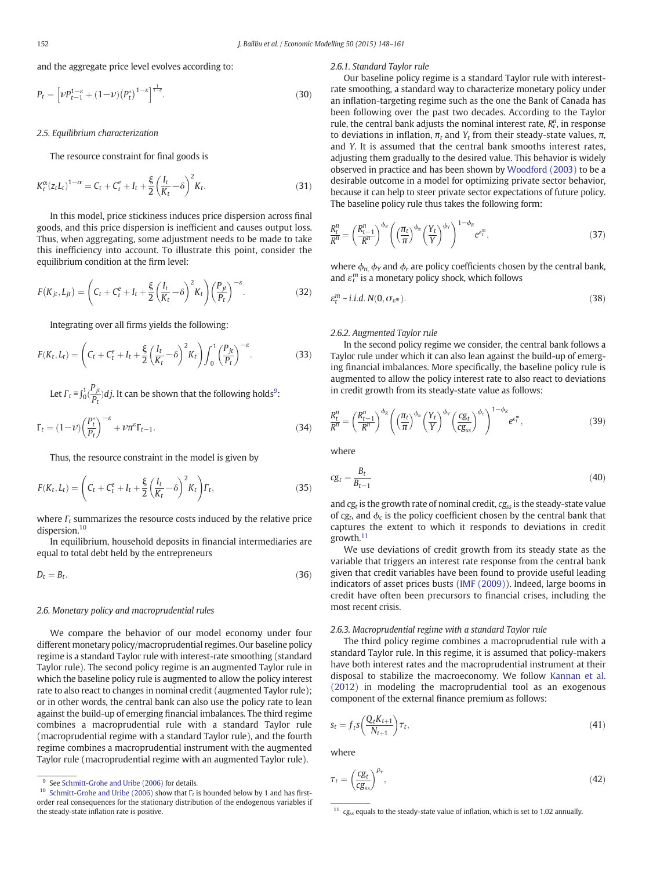<span id="page-4-0"></span>and the aggregate price level evolves according to:

$$
P_t = \left[\nu P_{t-1}^{1-\varepsilon} + (1-\nu)(P_t^*)^{1-\varepsilon}\right]^{\frac{1}{1-\varepsilon}}.\tag{30}
$$

#### 2.5. Equilibrium characterization

The resource constraint for final goods is

$$
K_t^{\alpha}(z_t L_t)^{1-\alpha} = C_t + C_t^e + I_t + \frac{\xi}{2} \left(\frac{I_t}{K_t} - \delta\right)^2 K_t.
$$
 (31)

In this model, price stickiness induces price dispersion across final goods, and this price dispersion is inefficient and causes output loss. Thus, when aggregating, some adjustment needs to be made to take this inefficiency into account. To illustrate this point, consider the equilibrium condition at the firm level:

$$
F(K_{jt}, L_{jt}) = \left(C_t + C_t^e + I_t + \frac{\xi}{2} \left(\frac{I_t}{K_t} - \delta\right)^2 K_t\right) \left(\frac{P_{jt}}{P_t}\right)^{-\varepsilon}.
$$
 (32)

Integrating over all firms yields the following:

$$
F(K_t, L_t) = \left(C_t + C_t^e + I_t + \frac{\xi}{2} \left(\frac{I_t}{K_t} - \delta\right)^2 K_t\right) \int_0^1 \left(\frac{P_{jt}}{P_t}\right)^{-\varepsilon}.
$$
 (33)

Let  $\Gamma_t \equiv \int_0^1 \left(\frac{P_{jt}}{P_t}\right)$  $\frac{F_{jt}}{P_t}$ )dj. It can be shown that the following holds<sup>9</sup>:

$$
\Gamma_t = (1 - \nu) \left(\frac{P_t^*}{P_t}\right)^{-\varepsilon} + \nu \pi^{\varepsilon} \Gamma_{t-1}.
$$
\n(34)

Thus, the resource constraint in the model is given by

$$
F(K_t, L_t) = \left(C_t + C_t^e + I_t + \frac{\xi}{2} \left(\frac{I_t}{K_t} - \delta\right)^2 K_t\right) \Gamma_t,\tag{35}
$$

where  $\Gamma_t$  summarizes the resource costs induced by the relative price dispersion.<sup>10</sup>

In equilibrium, household deposits in financial intermediaries are equal to total debt held by the entrepreneurs

$$
D_t = B_t. \tag{36}
$$

#### 2.6. Monetary policy and macroprudential rules

We compare the behavior of our model economy under four different monetary policy/macroprudential regimes. Our baseline policy regime is a standard Taylor rule with interest-rate smoothing (standard Taylor rule). The second policy regime is an augmented Taylor rule in which the baseline policy rule is augmented to allow the policy interest rate to also react to changes in nominal credit (augmented Taylor rule); or in other words, the central bank can also use the policy rate to lean against the build-up of emerging financial imbalances. The third regime combines a macroprudential rule with a standard Taylor rule (macroprudential regime with a standard Taylor rule), and the fourth regime combines a macroprudential instrument with the augmented Taylor rule (macroprudential regime with an augmented Taylor rule).

# 2.6.1. Standard Taylor rule

Our baseline policy regime is a standard Taylor rule with interestrate smoothing, a standard way to characterize monetary policy under an inflation-targeting regime such as the one the Bank of Canada has been following over the past two decades. According to the Taylor rule, the central bank adjusts the nominal interest rate,  $R_t^n$ , in response to deviations in inflation,  $\pi_t$  and  $Y_t$  from their steady-state values,  $\pi$ , and Y. It is assumed that the central bank smooths interest rates, adjusting them gradually to the desired value. This behavior is widely observed in practice and has been shown by [Woodford \(2003\)](#page-13-0) to be a desirable outcome in a model for optimizing private sector behavior, because it can help to steer private sector expectations of future policy. The baseline policy rule thus takes the following form:

$$
\frac{R_t^n}{R^n} = \left(\frac{R_{t-1}^n}{R^n}\right)^{\phi_R} \left(\left(\frac{\pi_t}{\pi}\right)^{\phi_R} \left(\frac{Y_t}{Y}\right)^{\phi_Y}\right)^{1-\phi_R} e^{\epsilon_t^m},\tag{37}
$$

where  $\phi_{\pi}$ ,  $\phi_{\gamma}$  and  $\phi_{r}$  are policy coefficients chosen by the central bank, and  $\varepsilon_t^m$  is a monetary policy shock, which follows

$$
\varepsilon_t^m \sim i.i.d. N(0, \sigma_{\varepsilon^m}).
$$
\n(38)

#### 2.6.2. Augmented Taylor rule

In the second policy regime we consider, the central bank follows a Taylor rule under which it can also lean against the build-up of emerging financial imbalances. More specifically, the baseline policy rule is augmented to allow the policy interest rate to also react to deviations in credit growth from its steady-state value as follows:

$$
\frac{R_t^n}{R^n} = \left(\frac{R_{t-1}^n}{R^n}\right)^{\phi_R} \left(\left(\frac{\pi_t}{\pi}\right)^{\phi_\pi} \left(\frac{Y_t}{Y}\right)^{\phi_Y} \left(\frac{cg_t}{cg_{ss}}\right)^{\phi_c}\right)^{1-\phi_R} e^{\epsilon_t^m},\tag{39}
$$

where

$$
cg_t = \frac{B_t}{B_{t-1}}\tag{40}
$$

and  $cg_t$  is the growth rate of nominal credit,  $cg_{ss}$  is the steady-state value of cg<sub>t</sub>, and  $\phi_c$  is the policy coefficient chosen by the central bank that captures the extent to which it responds to deviations in credit growth.11

We use deviations of credit growth from its steady state as the variable that triggers an interest rate response from the central bank given that credit variables have been found to provide useful leading indicators of asset prices busts ([IMF \(2009\)](#page-13-0)). Indeed, large booms in credit have often been precursors to financial crises, including the most recent crisis.

#### 2.6.3. Macroprudential regime with a standard Taylor rule

The third policy regime combines a macroprudential rule with a standard Taylor rule. In this regime, it is assumed that policy-makers have both interest rates and the macroprudential instrument at their disposal to stabilize the macroeconomy. We follow [Kannan et al.](#page-13-0) [\(2012\)](#page-13-0) in modeling the macroprudential tool as an exogenous component of the external finance premium as follows:

$$
s_t = f_t s \left( \frac{Q_t K_{t+1}}{N_{t+1}} \right) \tau_t,
$$
\n(41)

where

$$
\tau_t = \left(\frac{cg_t}{cg_{ss}}\right)^{\rho_\tau},\tag{42}
$$

 $9$  See [Schmitt-Grohe and Uribe \(2006\)](#page-13-0) for details.

<sup>&</sup>lt;sup>10</sup> [Schmitt-Grohe and Uribe \(2006\)](#page-13-0) show that  $\Gamma_t$  is bounded below by 1 and has firstorder real consequences for the stationary distribution of the endogenous variables if

 $t_1$  cg<sub>ss</sub> equals to the steady-state value of inflation, which is set to 1.02 annually.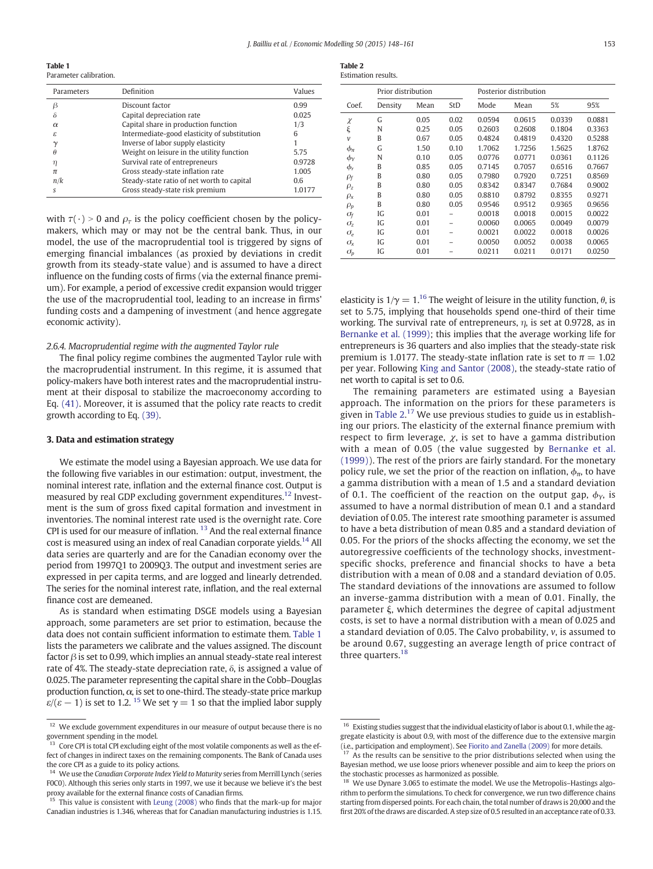<span id="page-5-0"></span>Table 1 Parameter calibration.

| Parameters               | Definition                                   | Values |
|--------------------------|----------------------------------------------|--------|
| ß                        | Discount factor                              | 0.99   |
| δ                        | Capital depreciation rate                    | 0.025  |
| $\alpha$                 | Capital share in production function         | 1/3    |
| ε                        | Intermediate-good elasticity of substitution | 6      |
| $\scriptstyle\mathtt{v}$ | Inverse of labor supply elasticity           |        |
| θ                        | Weight on leisure in the utility function    | 5.75   |
| η                        | Survival rate of entrepreneurs               | 0.9728 |
| π                        | Gross steady-state inflation rate            | 1.005  |
| n/k                      | Steady-state ratio of net worth to capital   | 0.6    |
|                          | Gross steady-state risk premium              | 1.0177 |

with  $\tau(\cdot) > 0$  and  $\rho_{\tau}$  is the policy coefficient chosen by the policymakers, which may or may not be the central bank. Thus, in our model, the use of the macroprudential tool is triggered by signs of emerging financial imbalances (as proxied by deviations in credit growth from its steady-state value) and is assumed to have a direct influence on the funding costs of firms (via the external finance premium). For example, a period of excessive credit expansion would trigger the use of the macroprudential tool, leading to an increase in firms' funding costs and a dampening of investment (and hence aggregate economic activity).

#### 2.6.4. Macroprudential regime with the augmented Taylor rule

The final policy regime combines the augmented Taylor rule with the macroprudential instrument. In this regime, it is assumed that policy-makers have both interest rates and the macroprudential instrument at their disposal to stabilize the macroeconomy according to Eq. [\(41\)](#page-4-0). Moreover, it is assumed that the policy rate reacts to credit growth according to Eq. [\(39\)](#page-4-0).

# 3. Data and estimation strategy

We estimate the model using a Bayesian approach. We use data for the following five variables in our estimation: output, investment, the nominal interest rate, inflation and the external finance cost. Output is measured by real GDP excluding government expenditures.<sup>12</sup> Investment is the sum of gross fixed capital formation and investment in inventories. The nominal interest rate used is the overnight rate. Core CPI is used for our measure of inflation.<sup>13</sup> And the real external finance cost is measured using an index of real Canadian corporate yields.<sup>14</sup> All data series are quarterly and are for the Canadian economy over the period from 1997Q1 to 2009Q3. The output and investment series are expressed in per capita terms, and are logged and linearly detrended. The series for the nominal interest rate, inflation, and the real external finance cost are demeaned.

As is standard when estimating DSGE models using a Bayesian approach, some parameters are set prior to estimation, because the data does not contain sufficient information to estimate them. Table 1 lists the parameters we calibrate and the values assigned. The discount factor  $\beta$  is set to 0.99, which implies an annual steady-state real interest rate of 4%. The steady-state depreciation rate,  $\delta$ , is assigned a value of 0.025. The parameter representing the capital share in the Cobb–Douglas production function,  $\alpha$ , is set to one-third. The steady-state price markup  $\varepsilon/(\varepsilon - 1)$  is set to 1.2. <sup>15</sup> We set  $\gamma = 1$  so that the implied labor supply

| <b>Table 2</b>      |  |
|---------------------|--|
| Estimation results. |  |

|                  | Prior distribution |      |      |        | Posterior distribution |        |        |  |  |
|------------------|--------------------|------|------|--------|------------------------|--------|--------|--|--|
| Coef.            | Density            | Mean | StD  | Mode   | Mean                   | 5%     | 95%    |  |  |
| $\chi$           | G                  | 0.05 | 0.02 | 0.0594 | 0.0615                 | 0.0339 | 0.0881 |  |  |
| ξ                | N                  | 0.25 | 0.05 | 0.2603 | 0.2608                 | 0.1804 | 0.3363 |  |  |
| $\mathcal V$     | B                  | 0.67 | 0.05 | 0.4824 | 0.4819                 | 0.4320 | 0.5288 |  |  |
| $\phi_{\pi}$     | G                  | 1.50 | 0.10 | 1.7062 | 1.7256                 | 1.5625 | 1.8762 |  |  |
| $\phi_Y$         | N                  | 0.10 | 0.05 | 0.0776 | 0.0771                 | 0.0361 | 0.1126 |  |  |
| $\phi_r$         | B                  | 0.85 | 0.05 | 0.7145 | 0.7057                 | 0.6516 | 0.7667 |  |  |
| $\rho_f$         | B                  | 0.80 | 0.05 | 0.7980 | 0.7920                 | 0.7251 | 0.8569 |  |  |
| $\rho_z$         | B                  | 0.80 | 0.05 | 0.8342 | 0.8347                 | 0.7684 | 0.9002 |  |  |
| $\rho_{x}$       | B                  | 0.80 | 0.05 | 0.8810 | 0.8792                 | 0.8355 | 0.9271 |  |  |
| $\rho_p$         | B                  | 0.80 | 0.05 | 0.9546 | 0.9512                 | 0.9365 | 0.9656 |  |  |
| $\sigma_{f}$     | IG                 | 0.01 |      | 0.0018 | 0.0018                 | 0.0015 | 0.0022 |  |  |
| $\sigma_z$       | IG                 | 0.01 |      | 0.0060 | 0.0065                 | 0.0049 | 0.0079 |  |  |
| $\sigma_e$       | IG                 | 0.01 |      | 0.0021 | 0.0022                 | 0.0018 | 0.0026 |  |  |
| $\sigma_{\rm x}$ | IG                 | 0.01 |      | 0.0050 | 0.0052                 | 0.0038 | 0.0065 |  |  |
| $\sigma_p$       | IG                 | 0.01 |      | 0.0211 | 0.0211                 | 0.0171 | 0.0250 |  |  |

elasticity is  $1/\gamma = 1$ .<sup>16</sup> The weight of leisure in the utility function,  $\theta$ , is set to 5.75, implying that households spend one-third of their time working. The survival rate of entrepreneurs,  $\eta$ , is set at 0.9728, as in [Bernanke et al. \(1999\);](#page-13-0) this implies that the average working life for entrepreneurs is 36 quarters and also implies that the steady-state risk premium is 1.0177. The steady-state inflation rate is set to  $\pi = 1.02$ per year. Following [King and Santor \(2008\),](#page-13-0) the steady-state ratio of net worth to capital is set to 0.6.

The remaining parameters are estimated using a Bayesian approach. The information on the priors for these parameters is given in Table  $2.17$  We use previous studies to guide us in establishing our priors. The elasticity of the external finance premium with respect to firm leverage,  $\chi$ , is set to have a gamma distribution with a mean of 0.05 (the value suggested by [Bernanke et al.](#page-13-0) [\(1999\)](#page-13-0)). The rest of the priors are fairly standard. For the monetary policy rule, we set the prior of the reaction on inflation,  $\phi_{\pi}$ , to have a gamma distribution with a mean of 1.5 and a standard deviation of 0.1. The coefficient of the reaction on the output gap,  $\phi_{Y}$ , is assumed to have a normal distribution of mean 0.1 and a standard deviation of 0.05. The interest rate smoothing parameter is assumed to have a beta distribution of mean 0.85 and a standard deviation of 0.05. For the priors of the shocks affecting the economy, we set the autoregressive coefficients of the technology shocks, investmentspecific shocks, preference and financial shocks to have a beta distribution with a mean of 0.08 and a standard deviation of 0.05. The standard deviations of the innovations are assumed to follow an inverse-gamma distribution with a mean of 0.01. Finally, the parameter ξ, which determines the degree of capital adjustment costs, is set to have a normal distribution with a mean of 0.025 and a standard deviation of 0.05. The Calvo probability, v, is assumed to be around 0.67, suggesting an average length of price contract of three quarters.<sup>18</sup>

 $12$  We exclude government expenditures in our measure of output because there is no

government spending in the model.<br><sup>13</sup> Core CPI is total CPI excluding eight of the most volatile components as well as the effect of changes in indirect taxes on the remaining components. The Bank of Canada uses the core CPI as a guide to its policy actions.

<sup>&</sup>lt;sup>14</sup> We use the Canadian Corporate Index Yield to Maturity series from Merrill Lynch (series F0C0). Although this series only starts in 1997, we use it because we believe it's the best proxy available for the external finance costs of Canadian firms.

 $15$  This value is consistent with [Leung \(2008\)](#page-13-0) who finds that the mark-up for major Canadian industries is 1.346, whereas that for Canadian manufacturing industries is 1.15.

<sup>&</sup>lt;sup>16</sup> Existing studies suggest that the individual elasticity of labor is about 0.1, while the aggregate elasticity is about 0.9, with most of the difference due to the extensive margin (i.e., participation and employment). See [Fiorito and Zanella \(2009\)](#page-13-0) for more details.

<sup>&</sup>lt;sup>17</sup> As the results can be sensitive to the prior distributions selected when using the Bayesian method, we use loose priors whenever possible and aim to keep the priors on the stochastic processes as harmonized as possible.

<sup>&</sup>lt;sup>18</sup> We use Dynare 3.065 to estimate the model. We use the Metropolis-Hastings algorithm to perform the simulations. To check for convergence, we run two difference chains starting from dispersed points. For each chain, the total number of draws is 20,000 and the first 20% of the draws are discarded. A step size of 0.5 resulted in an acceptance rate of 0.33.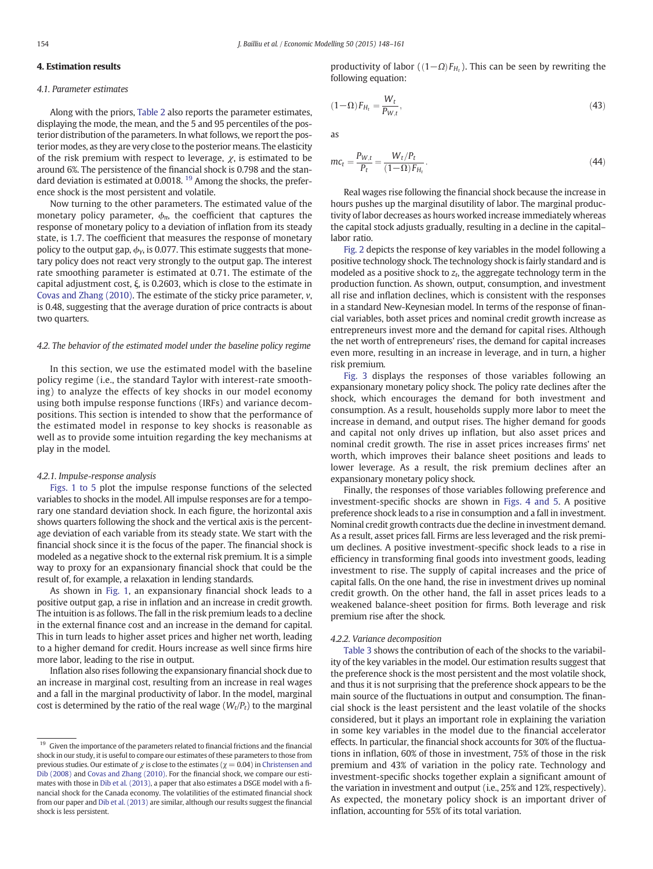# <span id="page-6-0"></span>4. Estimation results

#### 4.1. Parameter estimates

Along with the priors, [Table 2](#page-5-0) also reports the parameter estimates, displaying the mode, the mean, and the 5 and 95 percentiles of the posterior distribution of the parameters. In what follows, we report the posterior modes, as they are very close to the posterior means. The elasticity of the risk premium with respect to leverage,  $\chi$ , is estimated to be around 6%. The persistence of the financial shock is 0.798 and the standard deviation is estimated at  $0.0018$ . <sup>19</sup> Among the shocks, the preference shock is the most persistent and volatile.

Now turning to the other parameters. The estimated value of the monetary policy parameter,  $\phi_{\pi}$ , the coefficient that captures the response of monetary policy to a deviation of inflation from its steady state, is 1.7. The coefficient that measures the response of monetary policy to the output gap,  $\phi_Y$ , is 0.077. This estimate suggests that monetary policy does not react very strongly to the output gap. The interest rate smoothing parameter is estimated at 0.71. The estimate of the capital adjustment cost, ξ, is 0.2603, which is close to the estimate in [Covas and Zhang \(2010\).](#page-13-0) The estimate of the sticky price parameter, v, is 0.48, suggesting that the average duration of price contracts is about two quarters.

#### 4.2. The behavior of the estimated model under the baseline policy regime

In this section, we use the estimated model with the baseline policy regime (i.e., the standard Taylor with interest-rate smoothing) to analyze the effects of key shocks in our model economy using both impulse response functions (IRFs) and variance decompositions. This section is intended to show that the performance of the estimated model in response to key shocks is reasonable as well as to provide some intuition regarding the key mechanisms at play in the model.

#### 4.2.1. Impulse-response analysis

[Figs. 1 to 5](#page-7-0) plot the impulse response functions of the selected variables to shocks in the model. All impulse responses are for a temporary one standard deviation shock. In each figure, the horizontal axis shows quarters following the shock and the vertical axis is the percentage deviation of each variable from its steady state. We start with the financial shock since it is the focus of the paper. The financial shock is modeled as a negative shock to the external risk premium. It is a simple way to proxy for an expansionary financial shock that could be the result of, for example, a relaxation in lending standards.

As shown in [Fig. 1](#page-7-0), an expansionary financial shock leads to a positive output gap, a rise in inflation and an increase in credit growth. The intuition is as follows. The fall in the risk premium leads to a decline in the external finance cost and an increase in the demand for capital. This in turn leads to higher asset prices and higher net worth, leading to a higher demand for credit. Hours increase as well since firms hire more labor, leading to the rise in output.

Inflation also rises following the expansionary financial shock due to an increase in marginal cost, resulting from an increase in real wages and a fall in the marginal productivity of labor. In the model, marginal cost is determined by the ratio of the real wage  $(W_t/P_t)$  to the marginal productivity of labor ( $(1-\Omega)F_H$ ). This can be seen by rewriting the following equation:

$$
(1-\Omega)F_{H_t} = \frac{W_t}{P_{W,t}},\tag{43}
$$

as

$$
mc_t = \frac{P_{W,t}}{P_t} = \frac{W_t/P_t}{(1-\Omega)F_{H_t}}.\tag{44}
$$

Real wages rise following the financial shock because the increase in hours pushes up the marginal disutility of labor. The marginal productivity of labor decreases as hours worked increase immediately whereas the capital stock adjusts gradually, resulting in a decline in the capital– labor ratio.

[Fig. 2](#page-7-0) depicts the response of key variables in the model following a positive technology shock. The technology shock is fairly standard and is modeled as a positive shock to  $z<sub>t</sub>$ , the aggregate technology term in the production function. As shown, output, consumption, and investment all rise and inflation declines, which is consistent with the responses in a standard New-Keynesian model. In terms of the response of financial variables, both asset prices and nominal credit growth increase as entrepreneurs invest more and the demand for capital rises. Although the net worth of entrepreneurs' rises, the demand for capital increases even more, resulting in an increase in leverage, and in turn, a higher risk premium.

[Fig. 3](#page-8-0) displays the responses of those variables following an expansionary monetary policy shock. The policy rate declines after the shock, which encourages the demand for both investment and consumption. As a result, households supply more labor to meet the increase in demand, and output rises. The higher demand for goods and capital not only drives up inflation, but also asset prices and nominal credit growth. The rise in asset prices increases firms' net worth, which improves their balance sheet positions and leads to lower leverage. As a result, the risk premium declines after an expansionary monetary policy shock.

Finally, the responses of those variables following preference and investment-specific shocks are shown in [Figs. 4 and 5](#page-8-0). A positive preference shock leads to a rise in consumption and a fall in investment. Nominal credit growth contracts due the decline in investment demand. As a result, asset prices fall. Firms are less leveraged and the risk premium declines. A positive investment-specific shock leads to a rise in efficiency in transforming final goods into investment goods, leading investment to rise. The supply of capital increases and the price of capital falls. On the one hand, the rise in investment drives up nominal credit growth. On the other hand, the fall in asset prices leads to a weakened balance-sheet position for firms. Both leverage and risk premium rise after the shock.

#### 4.2.2. Variance decomposition

[Table 3](#page-9-0) shows the contribution of each of the shocks to the variability of the key variables in the model. Our estimation results suggest that the preference shock is the most persistent and the most volatile shock, and thus it is not surprising that the preference shock appears to be the main source of the fluctuations in output and consumption. The financial shock is the least persistent and the least volatile of the shocks considered, but it plays an important role in explaining the variation in some key variables in the model due to the financial accelerator effects. In particular, the financial shock accounts for 30% of the fluctuations in inflation, 60% of those in investment, 75% of those in the risk premium and 43% of variation in the policy rate. Technology and investment-specific shocks together explain a significant amount of the variation in investment and output (i.e., 25% and 12%, respectively). As expected, the monetary policy shock is an important driver of inflation, accounting for 55% of its total variation.

 $19\,$  Given the importance of the parameters related to financial frictions and the financial shock in our study, it is useful to compare our estimates of these parameters to those from previous studies. Our estimate of  $\chi$  is close to the estimates ( $\chi = 0.04$ ) in [Christensen and](#page-13-0) [Dib \(2008\)](#page-13-0) and [Covas and Zhang \(2010\).](#page-13-0) For the financial shock, we compare our estimates with those in [Dib et al. \(2013\)](#page-13-0), a paper that also estimates a DSGE model with a financial shock for the Canada economy. The volatilities of the estimated financial shock from our paper and [Dib et al. \(2013\)](#page-13-0) are similar, although our results suggest the financial shock is less persistent.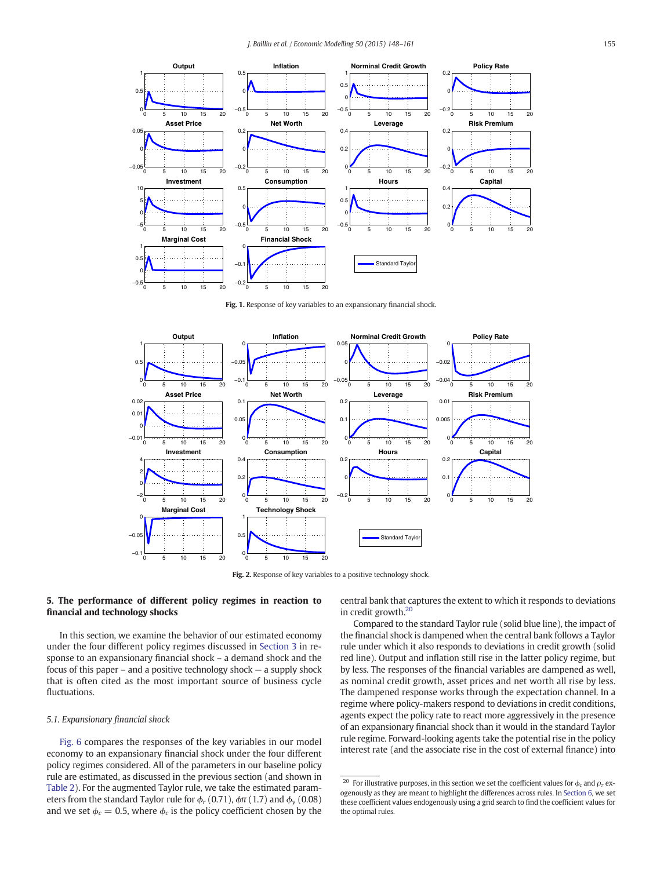<span id="page-7-0"></span>

Fig. 1. Response of key variables to an expansionary financial shock.



Fig. 2. Response of key variables to a positive technology shock.

# 5. The performance of different policy regimes in reaction to financial and technology shocks

In this section, we examine the behavior of our estimated economy under the four different policy regimes discussed in [Section 3](#page-5-0) in response to an expansionary financial shock – a demand shock and the focus of this paper – and a positive technology shock  $-$  a supply shock that is often cited as the most important source of business cycle fluctuations.

# 5.1. Expansionary financial shock

[Fig. 6](#page-10-0) compares the responses of the key variables in our model economy to an expansionary financial shock under the four different policy regimes considered. All of the parameters in our baseline policy rule are estimated, as discussed in the previous section (and shown in [Table 2](#page-5-0)). For the augmented Taylor rule, we take the estimated parameters from the standard Taylor rule for  $\phi_r$  (0.71),  $\phi \pi$  (1.7) and  $\phi_v$  (0.08) and we set  $\phi_c = 0.5$ , where  $\phi_c$  is the policy coefficient chosen by the central bank that captures the extent to which it responds to deviations in credit growth.<sup>20</sup>

Compared to the standard Taylor rule (solid blue line), the impact of the financial shock is dampened when the central bank follows a Taylor rule under which it also responds to deviations in credit growth (solid red line). Output and inflation still rise in the latter policy regime, but by less. The responses of the financial variables are dampened as well, as nominal credit growth, asset prices and net worth all rise by less. The dampened response works through the expectation channel. In a regime where policy-makers respond to deviations in credit conditions, agents expect the policy rate to react more aggressively in the presence of an expansionary financial shock than it would in the standard Taylor rule regime. Forward-looking agents take the potential rise in the policy interest rate (and the associate rise in the cost of external finance) into

<sup>&</sup>lt;sup>20</sup> For illustrative purposes, in this section we set the coefficient values for  $\phi_c$  and  $\rho_{\tau}$  exogenously as they are meant to highlight the differences across rules. In [Section 6,](#page-9-0) we set these coefficient values endogenously using a grid search to find the coefficient values for the optimal rules.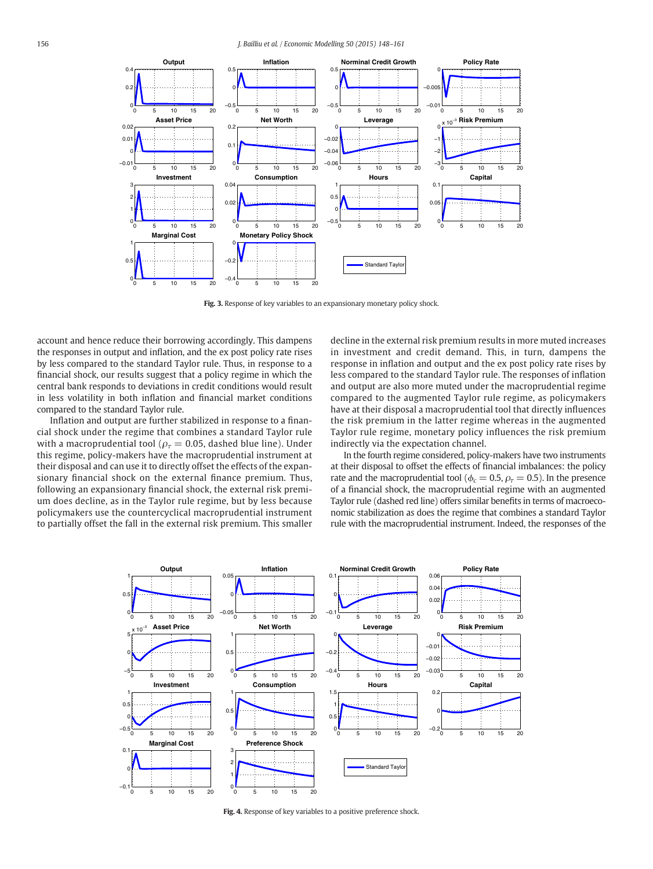<span id="page-8-0"></span>

Fig. 3. Response of key variables to an expansionary monetary policy shock.

account and hence reduce their borrowing accordingly. This dampens the responses in output and inflation, and the ex post policy rate rises by less compared to the standard Taylor rule. Thus, in response to a financial shock, our results suggest that a policy regime in which the central bank responds to deviations in credit conditions would result in less volatility in both inflation and financial market conditions compared to the standard Taylor rule.

Inflation and output are further stabilized in response to a financial shock under the regime that combines a standard Taylor rule with a macroprudential tool ( $\rho_{\tau} = 0.05$ , dashed blue line). Under this regime, policy-makers have the macroprudential instrument at their disposal and can use it to directly offset the effects of the expansionary financial shock on the external finance premium. Thus, following an expansionary financial shock, the external risk premium does decline, as in the Taylor rule regime, but by less because policymakers use the countercyclical macroprudential instrument to partially offset the fall in the external risk premium. This smaller decline in the external risk premium results in more muted increases in investment and credit demand. This, in turn, dampens the response in inflation and output and the ex post policy rate rises by less compared to the standard Taylor rule. The responses of inflation and output are also more muted under the macroprudential regime compared to the augmented Taylor rule regime, as policymakers have at their disposal a macroprudential tool that directly influences the risk premium in the latter regime whereas in the augmented Taylor rule regime, monetary policy influences the risk premium indirectly via the expectation channel.

In the fourth regime considered, policy-makers have two instruments at their disposal to offset the effects of financial imbalances: the policy rate and the macroprudential tool ( $\phi_c = 0.5$ ,  $\rho_{\tau} = 0.5$ ). In the presence of a financial shock, the macroprudential regime with an augmented Taylor rule (dashed red line) offers similar benefits in terms of macroeconomic stabilization as does the regime that combines a standard Taylor rule with the macroprudential instrument. Indeed, the responses of the



Fig. 4. Response of key variables to a positive preference shock.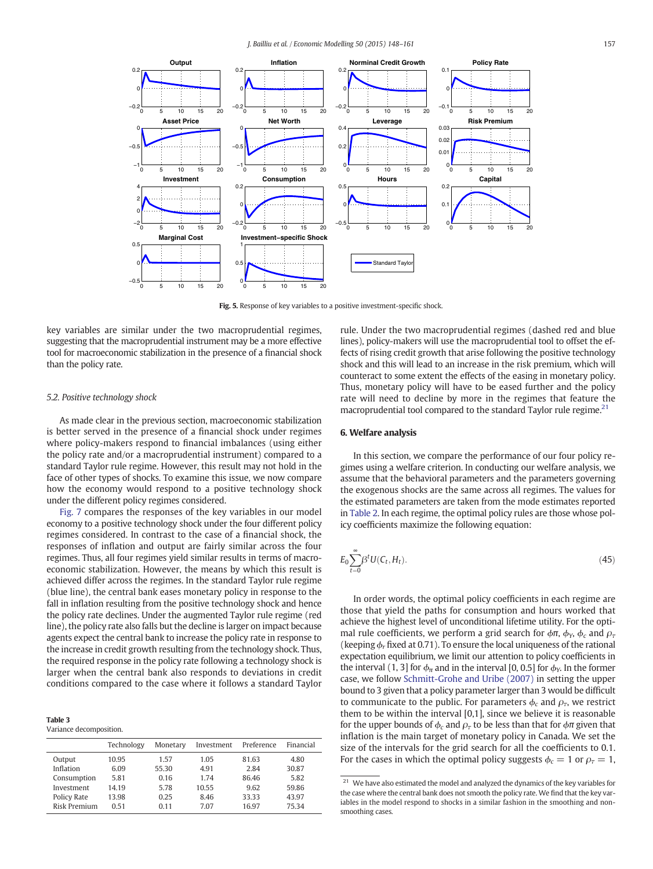<span id="page-9-0"></span>

Fig. 5. Response of key variables to a positive investment-specific shock.

key variables are similar under the two macroprudential regimes, suggesting that the macroprudential instrument may be a more effective tool for macroeconomic stabilization in the presence of a financial shock than the policy rate.

# 5.2. Positive technology shock

As made clear in the previous section, macroeconomic stabilization is better served in the presence of a financial shock under regimes where policy-makers respond to financial imbalances (using either the policy rate and/or a macroprudential instrument) compared to a standard Taylor rule regime. However, this result may not hold in the face of other types of shocks. To examine this issue, we now compare how the economy would respond to a positive technology shock under the different policy regimes considered.

[Fig. 7](#page-10-0) compares the responses of the key variables in our model economy to a positive technology shock under the four different policy regimes considered. In contrast to the case of a financial shock, the responses of inflation and output are fairly similar across the four regimes. Thus, all four regimes yield similar results in terms of macroeconomic stabilization. However, the means by which this result is achieved differ across the regimes. In the standard Taylor rule regime (blue line), the central bank eases monetary policy in response to the fall in inflation resulting from the positive technology shock and hence the policy rate declines. Under the augmented Taylor rule regime (red line), the policy rate also falls but the decline is larger on impact because agents expect the central bank to increase the policy rate in response to the increase in credit growth resulting from the technology shock. Thus, the required response in the policy rate following a technology shock is larger when the central bank also responds to deviations in credit conditions compared to the case where it follows a standard Taylor

| Table 3                 |  |
|-------------------------|--|
| Variance decomposition. |  |

|                     | Technology | Monetary | Investment | Preference | Financial |
|---------------------|------------|----------|------------|------------|-----------|
| Output              | 10.95      | 1.57     | 1.05       | 81.63      | 4.80      |
| Inflation           | 6.09       | 55.30    | 4.91       | 2.84       | 30.87     |
| Consumption         | 5.81       | 0.16     | 1.74       | 86.46      | 5.82      |
| Investment          | 14.19      | 5.78     | 10.55      | 9.62       | 59.86     |
| Policy Rate         | 13.98      | 0.25     | 8.46       | 33.33      | 43.97     |
| <b>Risk Premium</b> | 0.51       | 0.11     | 7.07       | 16.97      | 75.34     |

rule. Under the two macroprudential regimes (dashed red and blue lines), policy-makers will use the macroprudential tool to offset the effects of rising credit growth that arise following the positive technology shock and this will lead to an increase in the risk premium, which will counteract to some extent the effects of the easing in monetary policy. Thus, monetary policy will have to be eased further and the policy rate will need to decline by more in the regimes that feature the macroprudential tool compared to the standard Taylor rule regime. $21$ 

# 6. Welfare analysis

In this section, we compare the performance of our four policy regimes using a welfare criterion. In conducting our welfare analysis, we assume that the behavioral parameters and the parameters governing the exogenous shocks are the same across all regimes. The values for the estimated parameters are taken from the mode estimates reported in [Table 2](#page-5-0). In each regime, the optimal policy rules are those whose policy coefficients maximize the following equation:

$$
E_0 \sum_{t=0}^{\infty} \beta^t U(C_t, H_t). \tag{45}
$$

In order words, the optimal policy coefficients in each regime are those that yield the paths for consumption and hours worked that achieve the highest level of unconditional lifetime utility. For the optimal rule coefficients, we perform a grid search for  $φπ$ ,  $φ<sub>Y</sub>$ ,  $φ<sub>c</sub>$  and  $ρ<sub>τ</sub>$ (keeping  $\phi_r$  fixed at 0.71). To ensure the local uniqueness of the rational expectation equilibrium, we limit our attention to policy coefficients in the interval (1, 3] for  $\phi_{\pi}$  and in the interval [0, 0.5] for  $\phi_{Y}$ . In the former case, we follow [Schmitt-Grohe and Uribe \(2007\)](#page-13-0) in setting the upper bound to 3 given that a policy parameter larger than 3 would be difficult to communicate to the public. For parameters  $\phi_c$  and  $\rho_{\tau}$ , we restrict them to be within the interval [0,1], since we believe it is reasonable for the upper bounds of  $\phi_c$  and  $\rho_{\tau}$  to be less than that for  $\phi \pi$  given that inflation is the main target of monetary policy in Canada. We set the size of the intervals for the grid search for all the coefficients to 0.1. For the cases in which the optimal policy suggests  $\phi_c = 1$  or  $\rho_{\tau} = 1$ ,

 $^{21}\,$  We have also estimated the model and analyzed the dynamics of the key variables for the case where the central bank does not smooth the policy rate. We find that the key variables in the model respond to shocks in a similar fashion in the smoothing and nonsmoothing cases.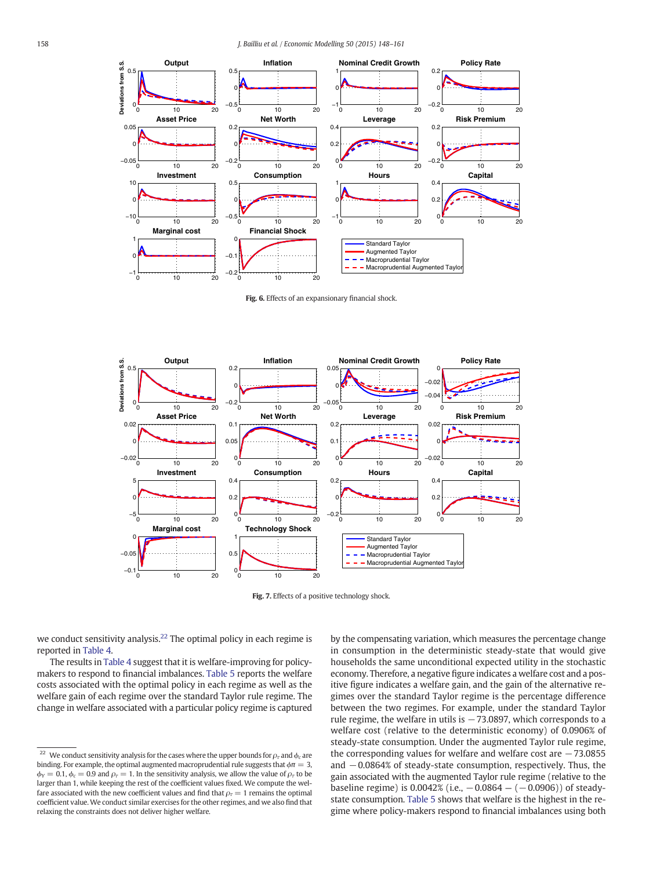<span id="page-10-0"></span>

Fig. 6. Effects of an expansionary financial shock.



Fig. 7. Effects of a positive technology shock.

we conduct sensitivity analysis.<sup>22</sup> The optimal policy in each regime is reported in [Table 4](#page-11-0).

The results in [Table 4](#page-11-0) suggest that it is welfare-improving for policymakers to respond to financial imbalances. [Table 5](#page-11-0) reports the welfare costs associated with the optimal policy in each regime as well as the welfare gain of each regime over the standard Taylor rule regime. The change in welfare associated with a particular policy regime is captured by the compensating variation, which measures the percentage change in consumption in the deterministic steady-state that would give households the same unconditional expected utility in the stochastic economy. Therefore, a negative figure indicates a welfare cost and a positive figure indicates a welfare gain, and the gain of the alternative regimes over the standard Taylor regime is the percentage difference between the two regimes. For example, under the standard Taylor rule regime, the welfare in utils is −73.0897, which corresponds to a welfare cost (relative to the deterministic economy) of 0.0906% of steady-state consumption. Under the augmented Taylor rule regime, the corresponding values for welfare and welfare cost are  $-73.0855$ and −0.0864% of steady-state consumption, respectively. Thus, the gain associated with the augmented Taylor rule regime (relative to the baseline regime) is  $0.0042\%$  (i.e.,  $-0.0864 - (-0.0906)$ ) of steadystate consumption. [Table 5](#page-11-0) shows that welfare is the highest in the regime where policy-makers respond to financial imbalances using both

 $^{22}$  We conduct sensitivity analysis for the cases where the upper bounds for  $\rho_{\tau}$  and  $\phi_{\rm c}$  are binding. For example, the optimal augmented macroprudential rule suggests that  $\phi \pi = 3$ ,  $\phi_Y = 0.1$ ,  $\phi_C = 0.9$  and  $\rho_T = 1$ . In the sensitivity analysis, we allow the value of  $\rho_T$  to be larger than 1, while keeping the rest of the coefficient values fixed. We compute the welfare associated with the new coefficient values and find that  $\rho_{\tau} = 1$  remains the optimal coefficient value. We conduct similar exercises for the other regimes, and we also find that relaxing the constraints does not deliver higher welfare.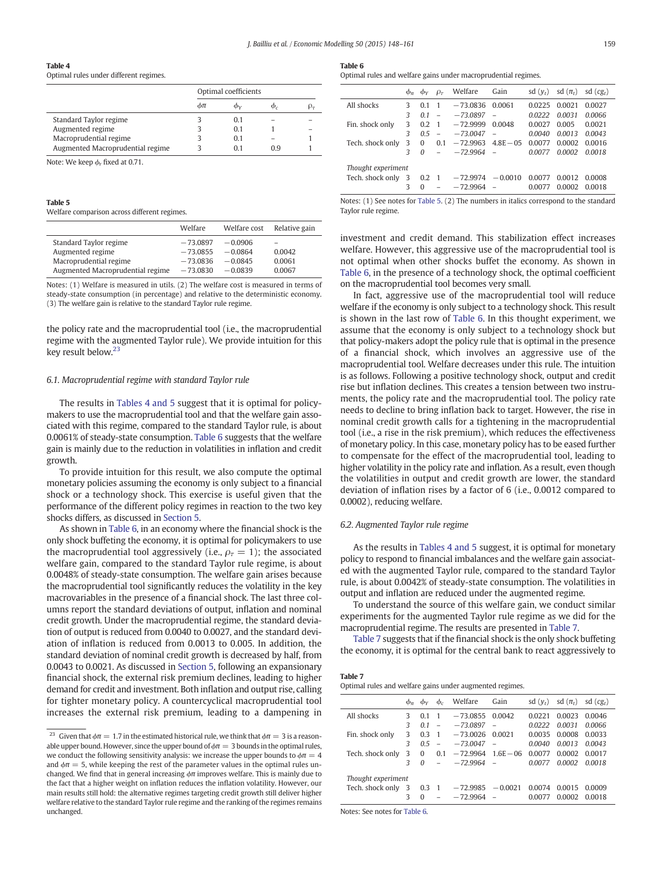<span id="page-11-0"></span>

| ٧ |
|---|
|---|

Optimal rules under different regimes.

|                                  | Optimal coefficients |                |     |  |  |  |
|----------------------------------|----------------------|----------------|-----|--|--|--|
|                                  | φπ                   | Φv             | Φ,  |  |  |  |
| Standard Taylor regime           |                      | 0.1            |     |  |  |  |
| Augmented regime                 |                      | 0.1            |     |  |  |  |
| Macroprudential regime           |                      | 0.1            |     |  |  |  |
| Augmented Macroprudential regime |                      | 0 <sub>1</sub> | በ ዓ |  |  |  |

Note: We keep  $\phi_r$  fixed at 0.71.

Welfare comparison across different regimes.

|                                  | Welfare    | Welfare cost | Relative gain |
|----------------------------------|------------|--------------|---------------|
| Standard Taylor regime           | $-73.0897$ | $-0.0906$    |               |
| Augmented regime                 | $-73.0855$ | $-0.0864$    | 0.0042        |
| Macroprudential regime           | $-73.0836$ | $-0.0845$    | 0.0061        |
| Augmented Macroprudential regime | $-73.0830$ | $-0.0839$    | 0.0067        |

Notes: (1) Welfare is measured in utils. (2) The welfare cost is measured in terms of steady-state consumption (in percentage) and relative to the deterministic economy. (3) The welfare gain is relative to the standard Taylor rule regime.

the policy rate and the macroprudential tool (i.e., the macroprudential regime with the augmented Taylor rule). We provide intuition for this key result below.<sup>23</sup>

# 6.1. Macroprudential regime with standard Taylor rule

The results in Tables 4 and 5 suggest that it is optimal for policymakers to use the macroprudential tool and that the welfare gain associated with this regime, compared to the standard Taylor rule, is about 0.0061% of steady-state consumption. Table 6 suggests that the welfare gain is mainly due to the reduction in volatilities in inflation and credit growth.

To provide intuition for this result, we also compute the optimal monetary policies assuming the economy is only subject to a financial shock or a technology shock. This exercise is useful given that the performance of the different policy regimes in reaction to the two key shocks differs, as discussed in [Section 5.](#page-7-0)

As shown in Table 6, in an economy where the financial shock is the only shock buffeting the economy, it is optimal for policymakers to use the macroprudential tool aggressively (i.e.,  $\rho_{\tau} = 1$ ); the associated welfare gain, compared to the standard Taylor rule regime, is about 0.0048% of steady-state consumption. The welfare gain arises because the macroprudential tool significantly reduces the volatility in the key macrovariables in the presence of a financial shock. The last three columns report the standard deviations of output, inflation and nominal credit growth. Under the macroprudential regime, the standard deviation of output is reduced from 0.0040 to 0.0027, and the standard deviation of inflation is reduced from 0.0013 to 0.005. In addition, the standard deviation of nominal credit growth is decreased by half, from 0.0043 to 0.0021. As discussed in [Section 5,](#page-7-0) following an expansionary financial shock, the external risk premium declines, leading to higher demand for credit and investment. Both inflation and output rise, calling for tighter monetary policy. A countercyclical macroprudential tool increases the external risk premium, leading to a dampening in

|  | $\sim$ |  |
|--|--------|--|
|  |        |  |

Optimal rules and welfare gains under macroprudential regimes.

|                    | $\Phi_{\pi}$ | $\phi_Y$ | $\rho_{\tau}$            | Welfare    | Gain        | sd $(y_t)$ | sd $(\pi_t)$ | sd $(cg_t)$ |
|--------------------|--------------|----------|--------------------------|------------|-------------|------------|--------------|-------------|
| All shocks         | 3            | 0.1      | $\mathbf{1}$             | $-73.0836$ | 0.0061      | 0.0225     | 0.0021       | 0.0027      |
|                    | 3            | 0.1      | $\overline{\phantom{a}}$ | $-73.0897$ |             | 0.0222     | 0.0031       | 0.0066      |
| Fin. shock only    | 3            | 0.2      | $\mathbf{1}$             | $-72.9999$ | 0.0048      | 0.0027     | 0.005        | 0.0021      |
|                    | 3            | 0.5      | $\overline{a}$           | $-73.0047$ |             | 0.0040     | 0.0013       | 0.0043      |
| Tech, shock only   | 3            | $\Omega$ | 0.1                      | $-72.9963$ | $4.8E - 05$ | 0.0077     | 0.0002       | 0.0016      |
|                    | 3            | n        |                          | $-72.9964$ |             | 0.0077     | 0.0002       | 0.0018      |
| Thought experiment |              |          |                          |            |             |            |              |             |
| Tech, shock only   | 3            | 0.2      | -1                       | $-72.9974$ | $-0.0010$   | 0.0077     | 0.0012       | 0.0008      |
|                    | ς            | O        |                          | $-72.9964$ |             | 0.0077     | 0.0002       | 0.0018      |

Notes: (1) See notes for Table 5. (2) The numbers in italics correspond to the standard Taylor rule regime.

investment and credit demand. This stabilization effect increases welfare. However, this aggressive use of the macroprudential tool is not optimal when other shocks buffet the economy. As shown in Table 6, in the presence of a technology shock, the optimal coefficient on the macroprudential tool becomes very small.

In fact, aggressive use of the macroprudential tool will reduce welfare if the economy is only subject to a technology shock. This result is shown in the last row of Table 6. In this thought experiment, we assume that the economy is only subject to a technology shock but that policy-makers adopt the policy rule that is optimal in the presence of a financial shock, which involves an aggressive use of the macroprudential tool. Welfare decreases under this rule. The intuition is as follows. Following a positive technology shock, output and credit rise but inflation declines. This creates a tension between two instruments, the policy rate and the macroprudential tool. The policy rate needs to decline to bring inflation back to target. However, the rise in nominal credit growth calls for a tightening in the macroprudential tool (i.e., a rise in the risk premium), which reduces the effectiveness of monetary policy. In this case, monetary policy has to be eased further to compensate for the effect of the macroprudential tool, leading to higher volatility in the policy rate and inflation. As a result, even though the volatilities in output and credit growth are lower, the standard deviation of inflation rises by a factor of 6 (i.e., 0.0012 compared to 0.0002), reducing welfare.

# 6.2. Augmented Taylor rule regime

As the results in Tables 4 and 5 suggest, it is optimal for monetary policy to respond to financial imbalances and the welfare gain associated with the augmented Taylor rule, compared to the standard Taylor rule, is about 0.0042% of steady-state consumption. The volatilities in output and inflation are reduced under the augmented regime.

To understand the source of this welfare gain, we conduct similar experiments for the augmented Taylor rule regime as we did for the macroprudential regime. The results are presented in Table 7.

Table 7 suggests that if the financial shock is the only shock buffeting the economy, it is optimal for the central bank to react aggressively to

# Table 7

Optimal rules and welfare gains under augmented regimes.

|                                                                                                          | $\phi_{\pi}$ | $\phi_Y$ | $\phi_c$       | Welfare    | Gain        | sd $(y_t)$ | sd $(\pi_t)$ | $sd(cg_t)$ |
|----------------------------------------------------------------------------------------------------------|--------------|----------|----------------|------------|-------------|------------|--------------|------------|
| All shocks                                                                                               | 3            | 0.1      | $\mathbf{1}$   | $-73.0855$ | 0.0042      | 0.0221     | 0.0023       | 0.0046     |
|                                                                                                          | 3            | 0.1      | $\overline{a}$ | $-73.0897$ |             | 0.0222     | 0.0031       | 0.0066     |
| Fin. shock only                                                                                          | 3            | 0.3      | $\overline{1}$ | $-73.0026$ | 0.0021      | 0.0035     | 0.0008       | 0.0033     |
|                                                                                                          | 3            | 0.5      |                | $-73.0047$ |             | 0.0040     | 0.0013       | 0.0043     |
| Tech, shock only                                                                                         | 3            | $\Omega$ | 0.1            | $-72.9964$ | $1.6E - 06$ | 0.0077     | 0.0002       | 0.0017     |
|                                                                                                          | 3            | $\Omega$ |                | $-72.9964$ |             | 0.0077     | 0.0002       | 0.0018     |
| Thought experiment                                                                                       |              |          |                |            |             |            |              |            |
| Tech, shock only                                                                                         | 3            | 0.3      | $\overline{1}$ | $-72.9985$ | $-0.0021$   | 0.0074     | 0.0015       | 0.0009     |
|                                                                                                          | 3            | $\Omega$ |                | $-72.9964$ |             | 0.0077     | 0.0002       | 0.0018     |
| $\mathbf{M}$ , and $\mathbf{C}$ , and a set of $\mathbf{C}$ , $\mathbf{D}$ , $\mathbf{L}$ , $\mathbf{C}$ |              |          |                |            |             |            |              |            |

Notes: See notes for Table 6.

<sup>&</sup>lt;sup>23</sup> Given that  $\phi \pi = 1.7$  in the estimated historical rule, we think that  $\phi \pi = 3$  is a reasonable upper bound. However, since the upper bound of  $\phi \pi = 3$  bounds in the optimal rules, we conduct the following sensitivity analysis: we increase the upper bounds to  $\phi \pi = 4$ and  $\phi \pi = 5$ , while keeping the rest of the parameter values in the optimal rules unchanged. We find that in general increasing  $\phi\pi$  improves welfare. This is mainly due to the fact that a higher weight on inflation reduces the inflation volatility. However, our main results still hold: the alternative regimes targeting credit growth still deliver higher welfare relative to the standard Taylor rule regime and the ranking of the regimes remains unchanged.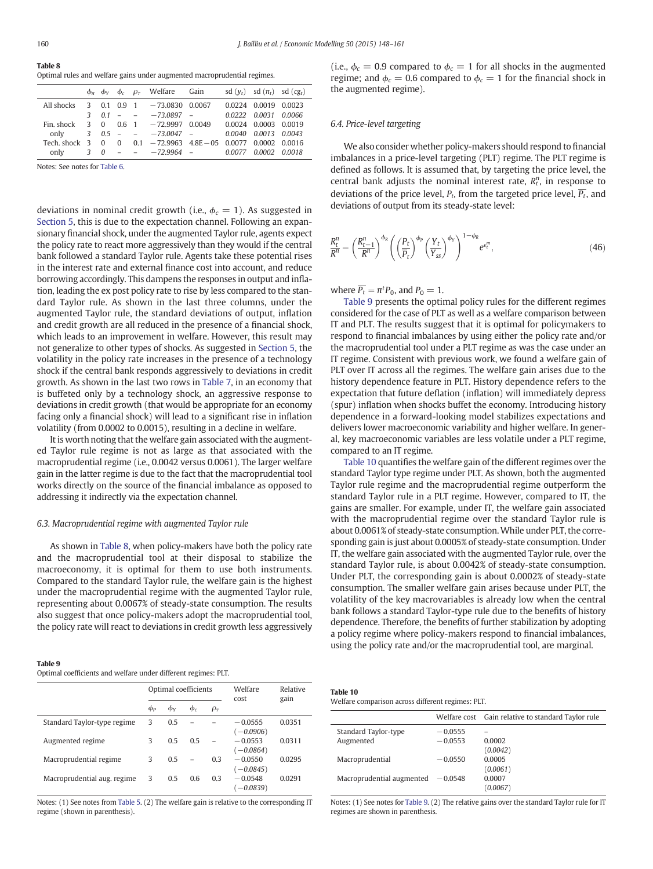Table 8 Optimal rules and welfare gains under augmented macroprudential regimes.

|                                                                                                              |  |  | $\phi_{\pi}$ $\phi_{Y}$ $\phi_{c}$ $\rho_{\tau}$ Welfare Gain                          |  | sd $(y_t)$ sd $(\pi_t)$ sd $(cg_t)$ |  |
|--------------------------------------------------------------------------------------------------------------|--|--|----------------------------------------------------------------------------------------|--|-------------------------------------|--|
| All shocks $3$ 0.1 0.9 1 $-73.0830$ 0.0067                                                                   |  |  |                                                                                        |  | 0.0224 0.0019 0.0023                |  |
|                                                                                                              |  |  | $3 \quad 0.1 - -73.0897 - 0.0222 \quad 0.0031 \quad 0.0066$                            |  |                                     |  |
| Fin shock $\begin{array}{cccccc} 3 & 0 & 0.6 & 1 & -72.9997 & 0.0049 & 0.0024 & 0.0003 & 0.0019 \end{array}$ |  |  |                                                                                        |  |                                     |  |
|                                                                                                              |  |  | only 3 0.5 - $-$ -73.0047 - 0.0040 0.0013 0.0043                                       |  |                                     |  |
| Tech. shock 3 0 0 0.1 -72.9963 4.8E -05 0.0077 0.0002 0.0016                                                 |  |  |                                                                                        |  |                                     |  |
|                                                                                                              |  |  | only $3 \quad 0 \quad - \quad -72.9964 \quad - \quad 0.0077 \quad 0.0002 \quad 0.0018$ |  |                                     |  |

Notes: See notes for [Table 6](#page-11-0).

deviations in nominal credit growth (i.e.,  $\phi_c = 1$ ). As suggested in [Section 5,](#page-7-0) this is due to the expectation channel. Following an expansionary financial shock, under the augmented Taylor rule, agents expect the policy rate to react more aggressively than they would if the central bank followed a standard Taylor rule. Agents take these potential rises in the interest rate and external finance cost into account, and reduce borrowing accordingly. This dampens the responses in output and inflation, leading the ex post policy rate to rise by less compared to the standard Taylor rule. As shown in the last three columns, under the augmented Taylor rule, the standard deviations of output, inflation and credit growth are all reduced in the presence of a financial shock, which leads to an improvement in welfare. However, this result may not generalize to other types of shocks. As suggested in [Section 5,](#page-7-0) the volatility in the policy rate increases in the presence of a technology shock if the central bank responds aggressively to deviations in credit growth. As shown in the last two rows in [Table 7,](#page-11-0) in an economy that is buffeted only by a technology shock, an aggressive response to deviations in credit growth (that would be appropriate for an economy facing only a financial shock) will lead to a significant rise in inflation volatility (from 0.0002 to 0.0015), resulting in a decline in welfare.

It is worth noting that the welfare gain associated with the augmented Taylor rule regime is not as large as that associated with the macroprudential regime (i.e., 0.0042 versus 0.0061). The larger welfare gain in the latter regime is due to the fact that the macroprudential tool works directly on the source of the financial imbalance as opposed to addressing it indirectly via the expectation channel.

#### 6.3. Macroprudential regime with augmented Taylor rule

As shown in Table 8, when policy-makers have both the policy rate and the macroprudential tool at their disposal to stabilize the macroeconomy, it is optimal for them to use both instruments. Compared to the standard Taylor rule, the welfare gain is the highest under the macroprudential regime with the augmented Taylor rule, representing about 0.0067% of steady-state consumption. The results also suggest that once policy-makers adopt the macroprudential tool, the policy rate will react to deviations in credit growth less aggressively

#### Table 9

Optimal coefficients and welfare under different regimes: PLT.

|                             | Optimal coefficients |          |          |               | Welfare<br>cost          | Relative<br>gain |
|-----------------------------|----------------------|----------|----------|---------------|--------------------------|------------------|
|                             | $\phi_P$             | $\phi_Y$ | $\phi_c$ | $\rho_{\tau}$ |                          |                  |
| Standard Taylor-type regime | 3                    | 0.5      |          |               | $-0.0555$<br>$(-0.0906)$ | 0.0351           |
| Augmented regime            | 3                    | 0.5      | 0.5      |               | $-0.0553$<br>$(-0.0864)$ | 0.0311           |
| Macroprudential regime      | 3                    | 0.5      |          | 0.3           | $-0.0550$<br>$(-0.0845)$ | 0.0295           |
| Macroprudential aug. regime | 3                    | 0.5      | 0.6      | 0.3           | $-0.0548$<br>$-0.0839$   | 0.0291           |

Notes: (1) See notes from [Table 5](#page-11-0). (2) The welfare gain is relative to the corresponding IT regime (shown in parenthesis).

(i.e.,  $\phi_c = 0.9$  compared to  $\phi_c = 1$  for all shocks in the augmented regime; and  $\phi_c = 0.6$  compared to  $\phi_c = 1$  for the financial shock in the augmented regime).

# 6.4. Price-level targeting

We also consider whether policy-makers should respond to financial imbalances in a price-level targeting (PLT) regime. The PLT regime is defined as follows. It is assumed that, by targeting the price level, the central bank adjusts the nominal interest rate,  $R_t^n$ , in response to deviations of the price level,  $P_t$ , from the targeted price level,  $\overline{P_t}$ , and deviations of output from its steady-state level:

$$
\frac{R_t^n}{R^n} = \left(\frac{R_{t-1}^n}{R^n}\right)^{\phi_R} \left(\left(\frac{P_t}{P_t}\right)^{\phi_P} \left(\frac{Y_t}{Y_{ss}}\right)^{\phi_Y}\right)^{1-\phi_R} e^{\epsilon_t^m},\tag{46}
$$

where  $\overline{P_t} = \pi^t P_0$ , and  $P_0 = 1$ .

Table 9 presents the optimal policy rules for the different regimes considered for the case of PLT as well as a welfare comparison between IT and PLT. The results suggest that it is optimal for policymakers to respond to financial imbalances by using either the policy rate and/or the macroprudential tool under a PLT regime as was the case under an IT regime. Consistent with previous work, we found a welfare gain of PLT over IT across all the regimes. The welfare gain arises due to the history dependence feature in PLT. History dependence refers to the expectation that future deflation (inflation) will immediately depress (spur) inflation when shocks buffet the economy. Introducing history dependence in a forward-looking model stabilizes expectations and delivers lower macroeconomic variability and higher welfare. In general, key macroeconomic variables are less volatile under a PLT regime, compared to an IT regime.

Table 10 quantifies the welfare gain of the different regimes over the standard Taylor type regime under PLT. As shown, both the augmented Taylor rule regime and the macroprudential regime outperform the standard Taylor rule in a PLT regime. However, compared to IT, the gains are smaller. For example, under IT, the welfare gain associated with the macroprudential regime over the standard Taylor rule is about 0.0061% of steady-state consumption.While under PLT, the corresponding gain is just about 0.0005% of steady-state consumption. Under IT, the welfare gain associated with the augmented Taylor rule, over the standard Taylor rule, is about 0.0042% of steady-state consumption. Under PLT, the corresponding gain is about 0.0002% of steady-state consumption. The smaller welfare gain arises because under PLT, the volatility of the key macrovariables is already low when the central bank follows a standard Taylor-type rule due to the benefits of history dependence. Therefore, the benefits of further stabilization by adopting a policy regime where policy-makers respond to financial imbalances, using the policy rate and/or the macroprudential tool, are marginal.

| Table 10                                          |  |  |
|---------------------------------------------------|--|--|
| Welfare comparison across different regimes; PLT. |  |  |

|                           |           | Welfare cost Gain relative to standard Taylor rule |
|---------------------------|-----------|----------------------------------------------------|
| Standard Taylor-type      | $-0.0555$ |                                                    |
| Augmented                 | $-0.0553$ | 0.0002                                             |
|                           |           | (0.0042)                                           |
| Macroprudential           | $-0.0550$ | 0.0005                                             |
|                           |           | (0.0061)                                           |
| Macroprudential augmented | $-0.0548$ | 0.0007                                             |
|                           |           | (0.0067)                                           |

Notes: (1) See notes for Table 9. (2) The relative gains over the standard Taylor rule for IT regimes are shown in parenthesis.